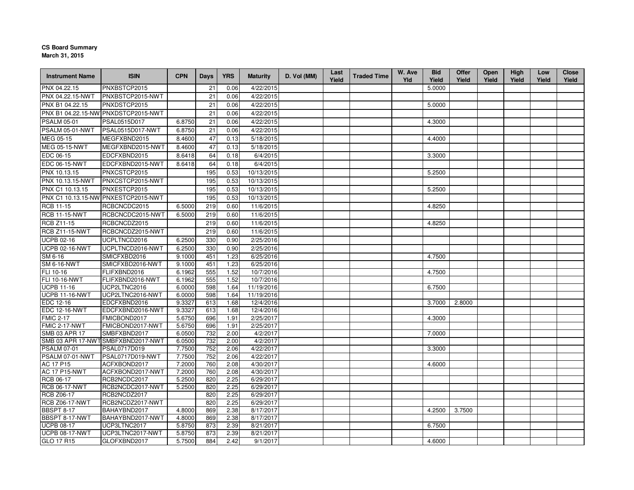## **CS Board Summary**

**March 31, 2015**

| <b>Instrument Name</b> | <b>ISIN</b>                                       | <b>CPN</b>       | <b>Days</b> | <b>YRS</b>   | <b>Maturity</b>       | D. Vol (MM) | Last<br>Yield | <b>Traded Time</b> | W. Ave<br>Yld | <b>Bid</b><br>Yield | Offer<br>Yield | <b>Open</b><br>Yield | High<br>Yield | Low<br>Yield | <b>Close</b><br>Yield |
|------------------------|---------------------------------------------------|------------------|-------------|--------------|-----------------------|-------------|---------------|--------------------|---------------|---------------------|----------------|----------------------|---------------|--------------|-----------------------|
| PNX 04.22.15           | PNXBSTCP2015                                      |                  | 21          | 0.06         | 4/22/2015             |             |               |                    |               | 5.0000              |                |                      |               |              |                       |
| PNX 04.22.15-NWT       | PNXBSTCP2015-NWT                                  |                  | 21          | 0.06         | 4/22/2015             |             |               |                    |               |                     |                |                      |               |              |                       |
| PNX B1 04.22.15        | PNXDSTCP2015                                      |                  | 21          | 0.06         | 4/22/2015             |             |               |                    |               | 5.0000              |                |                      |               |              |                       |
|                        | PNX B1 04.22.15-NW PNXDSTCP2015-NWT               |                  | 21          | 0.06         | 4/22/2015             |             |               |                    |               |                     |                |                      |               |              |                       |
| <b>PSALM 05-01</b>     | PSAL0515D017                                      | 6.8750           | 21          | 0.06         | 4/22/2015             |             |               |                    |               | 4.3000              |                |                      |               |              |                       |
| PSALM 05-01-NWT        | PSAL0515D017-NWT                                  | 6.8750           | 21          | 0.06         | 4/22/2015             |             |               |                    |               |                     |                |                      |               |              |                       |
| MEG 05-15              | MEGFXBND2015                                      | 8.4600           | 47          | 0.13         | 5/18/2015             |             |               |                    |               | 4.4000              |                |                      |               |              |                       |
| <b>MEG 05-15-NWT</b>   | MEGFXBND2015-NWT                                  | 8.4600           | 47          | 0.13         | 5/18/2015             |             |               |                    |               |                     |                |                      |               |              |                       |
| EDC 06-15              | EDCFXBND2015                                      | 8.6418           | 64          | 0.18         | 6/4/2015              |             |               |                    |               | 3.3000              |                |                      |               |              |                       |
| <b>EDC 06-15-NWT</b>   | EDCFXBND2015-NWT                                  | 8.6418           | 64          | 0.18         | 6/4/2015              |             |               |                    |               |                     |                |                      |               |              |                       |
| PNX 10.13.15           | PNXCSTCP2015                                      |                  | 195         | 0.53         | 10/13/2015            |             |               |                    |               | 5.2500              |                |                      |               |              |                       |
| PNX 10.13.15-NWT       | PNXCSTCP2015-NWT                                  |                  | 195         | 0.53         | 10/13/2015            |             |               |                    |               |                     |                |                      |               |              |                       |
| PNX C1 10.13.15        | PNXESTCP2015                                      |                  | 195         | 0.53         | 10/13/2015            |             |               |                    |               | 5.2500              |                |                      |               |              |                       |
|                        | PNX C1 10.13.15-NW PNXESTCP2015-NWT               |                  | 195         | 0.53         | 10/13/2015            |             |               |                    |               |                     |                |                      |               |              |                       |
| RCB 11-15              | RCBCNCDC2015                                      | 6.5000           | 219         | 0.60         | 11/6/2015             |             |               |                    |               | 4.8250              |                |                      |               |              |                       |
| <b>RCB 11-15-NWT</b>   | RCBCNCDC2015-NWT                                  | 6.5000           | 219         | 0.60         | 11/6/2015             |             |               |                    |               |                     |                |                      |               |              |                       |
| <b>RCB Z11-15</b>      | RCBCNCDZ2015                                      |                  | 219         | 0.60         | 11/6/2015             |             |               |                    |               | 4.8250              |                |                      |               |              |                       |
| <b>RCB Z11-15-NWT</b>  | RCBCNCDZ2015-NWT                                  |                  | 219         | 0.60         | 11/6/2015             |             |               |                    |               |                     |                |                      |               |              |                       |
| <b>UCPB 02-16</b>      | UCPLTNCD2016                                      | 6.2500           | 330         | 0.90         | 2/25/2016             |             |               |                    |               |                     |                |                      |               |              |                       |
| <b>UCPB 02-16-NWT</b>  | UCPLTNCD2016-NWT                                  | 6.2500           | 330         | 0.90         | 2/25/2016             |             |               |                    |               |                     |                |                      |               |              |                       |
| SM 6-16                | SMICFXBD2016                                      | 9.1000           | 451         | 1.23         | 6/25/2016             |             |               |                    |               | 4.7500              |                |                      |               |              |                       |
| <b>SM 6-16-NWT</b>     | SMICFXBD2016-NWT                                  | 9.1000           | 451         | 1.23         | 6/25/2016             |             |               |                    |               |                     |                |                      |               |              |                       |
| FLI 10-16              | FLIFXBND2016                                      | 6.1962           | 555         | 1.52         | 10/7/2016             |             |               |                    |               | 4.7500              |                |                      |               |              |                       |
| <b>FLI 10-16-NWT</b>   | FLIFXBND2016-NWT                                  | 6.1962           | 555         | 1.52         | 10/7/2016             |             |               |                    |               |                     |                |                      |               |              |                       |
| <b>UCPB 11-16</b>      | UCP2LTNC2016                                      | 6.0000           | 598         | 1.64         | 11/19/2016            |             |               |                    |               | 6.7500              |                |                      |               |              |                       |
| <b>UCPB 11-16-NWT</b>  | UCP2LTNC2016-NWT                                  | 6.0000           | 598         | 1.64         | 11/19/2016            |             |               |                    |               |                     |                |                      |               |              |                       |
| EDC 12-16              | EDCFXBND2016                                      | 9.3327           | 613         | 1.68         | 12/4/2016             |             |               |                    |               | 3.7000              | 2.8000         |                      |               |              |                       |
| <b>EDC 12-16-NWT</b>   | EDCFXBND2016-NWT                                  | 9.3327           | 613         | 1.68         | 12/4/2016             |             |               |                    |               |                     |                |                      |               |              |                       |
| <b>FMIC 2-17</b>       | FMICBOND2017                                      | 5.6750           | 696         | 1.91         | 2/25/2017             |             |               |                    |               | 4.3000              |                |                      |               |              |                       |
| FMIC 2-17-NWT          | FMICBOND2017-NWT                                  | 5.6750           | 696         | 1.91         | 2/25/2017             |             |               |                    |               |                     |                |                      |               |              |                       |
| SMB 03 APR 17          | SMBFXBND2017                                      | 6.0500           | 732         | 2.00         | 4/2/2017              |             |               |                    |               | 7.0000              |                |                      |               |              |                       |
| <b>PSALM 07-01</b>     | SMB 03 APR 17-NWTSMBFXBND2017-NWT<br>PSAL0717D019 | 6.0500<br>7.7500 | 732<br>752  | 2.00<br>2.06 | 4/2/2017<br>4/22/2017 |             |               |                    |               |                     |                |                      |               |              |                       |
| PSALM 07-01-NWT        | PSAL0717D019-NWT                                  | 7.7500           | 752         | 2.06         | 4/22/2017             |             |               |                    |               | 3.3000              |                |                      |               |              |                       |
| AC 17 P15              | ACFXBOND2017                                      | 7.2000           | 760         | 2.08         | 4/30/2017             |             |               |                    |               | 4.6000              |                |                      |               |              |                       |
| <b>AC 17 P15-NWT</b>   | ACFXBOND2017-NWT                                  | 7.2000           | 760         | 2.08         | 4/30/2017             |             |               |                    |               |                     |                |                      |               |              |                       |
| RCB 06-17              | RCB2NCDC2017                                      | 5.2500           | 820         | 2.25         | 6/29/2017             |             |               |                    |               |                     |                |                      |               |              |                       |
| <b>RCB 06-17-NWT</b>   | RCB2NCDC2017-NWT                                  | 5.2500           | 820         | 2.25         | 6/29/2017             |             |               |                    |               |                     |                |                      |               |              |                       |
| <b>RCB Z06-17</b>      | RCB2NCDZ2017                                      |                  | 820         | 2.25         | 6/29/2017             |             |               |                    |               |                     |                |                      |               |              |                       |
| RCB Z06-17-NWT         | RCB2NCDZ2017-NWT                                  |                  | 820         | 2.25         | 6/29/2017             |             |               |                    |               |                     |                |                      |               |              |                       |
| <b>BBSPT 8-17</b>      | BAHAYBND2017                                      | 4.8000           | 869         | 2.38         | 8/17/2017             |             |               |                    |               | 4.2500              | 3.7500         |                      |               |              |                       |
| <b>BBSPT 8-17-NWT</b>  | BAHAYBND2017-NWT                                  | 4.8000           | 869         | 2.38         | 8/17/2017             |             |               |                    |               |                     |                |                      |               |              |                       |
| <b>UCPB 08-17</b>      | UCP3LTNC2017                                      | 5.8750           | 873         | 2.39         | 8/21/2017             |             |               |                    |               | 6.7500              |                |                      |               |              |                       |
| <b>UCPB 08-17-NWT</b>  | UCP3LTNC2017-NWT                                  | 5.8750           | 873         | 2.39         | 8/21/2017             |             |               |                    |               |                     |                |                      |               |              |                       |
| GLO 17 R15             | GLOFXBND2017                                      | 5.7500           | 884         | 2.42         | 9/1/2017              |             |               |                    |               | 4.6000              |                |                      |               |              |                       |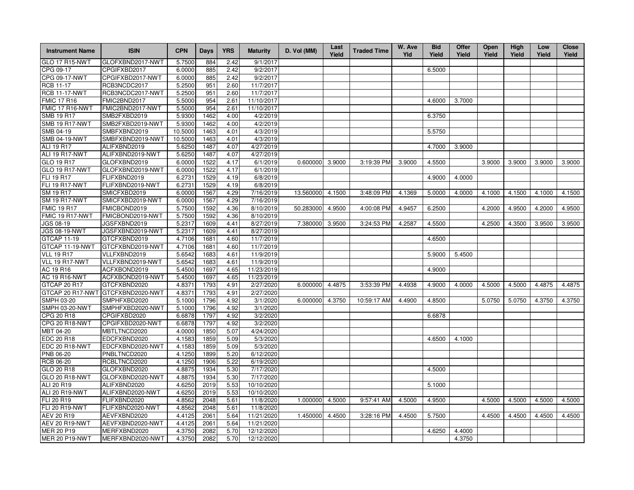| <b>Instrument Name</b> | <b>ISIN</b>      | <b>CPN</b> | <b>Days</b> | <b>YRS</b> | <b>Maturity</b> | D. Vol (MM) | Last<br>Yield | <b>Traded Time</b> | W. Ave<br>Yld | <b>Bid</b><br>Yield | Offer<br>Yield | Open<br>Yield | High<br>Yield | Low<br>Yield | <b>Close</b><br>Yield |
|------------------------|------------------|------------|-------------|------------|-----------------|-------------|---------------|--------------------|---------------|---------------------|----------------|---------------|---------------|--------------|-----------------------|
| <b>GLO 17 R15-NWT</b>  | GLOFXBND2017-NWT | 5.7500     | 884         | 2.42       | 9/1/2017        |             |               |                    |               |                     |                |               |               |              |                       |
| CPG 09-17              | CPGIFXBD2017     | 6.0000     | 885         | 2.42       | 9/2/2017        |             |               |                    |               | 6.5000              |                |               |               |              |                       |
| CPG 09-17-NWT          | CPGIFXBD2017-NWT | 6.0000     | 885         | 2.42       | 9/2/2017        |             |               |                    |               |                     |                |               |               |              |                       |
| <b>RCB 11-17</b>       | RCB3NCDC2017     | 5.2500     | 951         | 2.60       | 11/7/2017       |             |               |                    |               |                     |                |               |               |              |                       |
| <b>RCB 11-17-NWT</b>   | RCB3NCDC2017-NWT | 5.2500     | 951         | 2.60       | 11/7/2017       |             |               |                    |               |                     |                |               |               |              |                       |
| <b>FMIC 17 R16</b>     | FMIC2BND2017     | 5.5000     | 954         | 2.61       | 11/10/2017      |             |               |                    |               | 4.6000              | 3.7000         |               |               |              |                       |
| FMIC 17 R16-NWT        | FMIC2BND2017-NWT | 5.5000     | 954         | 2.61       | 11/10/2017      |             |               |                    |               |                     |                |               |               |              |                       |
| <b>SMB 19 R17</b>      | SMB2FXBD2019     | 5.9300     | 1462        | 4.00       | 4/2/2019        |             |               |                    |               | 6.3750              |                |               |               |              |                       |
| <b>SMB 19 R17-NWT</b>  | SMB2FXBD2019-NWT | 5.9300     | 1462        | 4.00       | 4/2/2019        |             |               |                    |               |                     |                |               |               |              |                       |
| SMB 04-19              | SMBFXBND2019     | 10.5000    | 1463        | 4.01       | 4/3/2019        |             |               |                    |               | 5.5750              |                |               |               |              |                       |
| <b>SMB 04-19-NWT</b>   | SMBFXBND2019-NWT | 10.5000    | 1463        | 4.01       | 4/3/2019        |             |               |                    |               |                     |                |               |               |              |                       |
| ALI 19 R17             | ALIFXBND2019     | 5.6250     | 1487        | 4.07       | 4/27/2019       |             |               |                    |               | 4.7000              | 3.9000         |               |               |              |                       |
| ALI 19 R17-NWT         | ALIFXBND2019-NWT | 5.6250     | 1487        | 4.07       | 4/27/2019       |             |               |                    |               |                     |                |               |               |              |                       |
| GLO 19 R17             | GLOFXBND2019     | 6.0000     | 1522        | 4.17       | 6/1/2019        | 0.600000    | 3.9000        | 3:19:39 PM         | 3.9000        | 4.5500              |                | 3.9000        | 3.9000        | 3.9000       | 3.9000                |
| <b>GLO 19 R17-NWT</b>  | GLOFXBND2019-NWT | 6.0000     | 1522        | 4.17       | 6/1/2019        |             |               |                    |               |                     |                |               |               |              |                       |
| <b>FLI 19 R17</b>      | FLIFXBND2019     | 6.2731     | 1529        | 4.19       | 6/8/2019        |             |               |                    |               | 4.9000              | 4.0000         |               |               |              |                       |
| <b>FLI 19 R17-NWT</b>  | FLIFXBND2019-NWT | 6.2731     | 1529        | 4.19       | 6/8/2019        |             |               |                    |               |                     |                |               |               |              |                       |
| SM 19 R17              | SMICFXBD2019     | 6.0000     | 1567        | 4.29       | 7/16/2019       | 13.560000   | 4.1500        | 3:48:09 PM         | 4.1369        | 5.0000              | 4.0000         | 4.1000        | 4.1500        | 4.1000       | 4.1500                |
| <b>SM 19 R17-NWT</b>   | SMICFXBD2019-NWT | 6.0000     | 1567        | 4.29       | 7/16/2019       |             |               |                    |               |                     |                |               |               |              |                       |
| <b>FMIC 19 R17</b>     | FMICBOND2019     | 5.7500     | 1592        | 4.36       | 8/10/2019       | 50.283000   | 4.9500        | 4:00:08 PM         | 4.9457        | 6.2500              |                | 4.2000        | 4.9500        | 4.2000       | 4.9500                |
| FMIC 19 R17-NWT        | FMICBOND2019-NWT | 5.7500     | 1592        | 4.36       | 8/10/2019       |             |               |                    |               |                     |                |               |               |              |                       |
| JGS 08-19              | JGSFXBND2019     | 5.2317     | 1609        | 4.41       | 8/27/2019       | 7.380000    | 3.9500        | 3:24:53 PM         | 4.2587        | 4.5500              |                | 4.2500        | 4.3500        | 3.9500       | 3.9500                |
| <b>JGS 08-19-NWT</b>   | JGSFXBND2019-NWT | 5.2317     | 1609        | 4.41       | 8/27/2019       |             |               |                    |               |                     |                |               |               |              |                       |
| <b>GTCAP 11-19</b>     | GTCFXBND2019     | 4.7106     | 1681        | 4.60       | 11/7/2019       |             |               |                    |               | 4.6500              |                |               |               |              |                       |
| GTCAP 11-19-NWT        | GTCFXBND2019-NWT | 4.7106     | 1681        | 4.60       | 11/7/2019       |             |               |                    |               |                     |                |               |               |              |                       |
| <b>VLL 19 R17</b>      | VLLFXBND2019     | 5.6542     | 1683        | 4.61       | 11/9/2019       |             |               |                    |               | 5.9000              | 5.4500         |               |               |              |                       |
| VLL 19 R17-NWT         | VLLFXBND2019-NWT | 5.6542     | 1683        | 4.61       | 11/9/2019       |             |               |                    |               |                     |                |               |               |              |                       |
| AC 19 R16              | ACFXBOND2019     | 5.4500     | 1697        | 4.65       | 11/23/2019      |             |               |                    |               | 4.9000              |                |               |               |              |                       |
| <b>AC 19 R16-NWT</b>   | ACFXBOND2019-NWT | 5.4500     | 1697        | 4.65       | 11/23/2019      |             |               |                    |               |                     |                |               |               |              |                       |
| GTCAP 20 R17           | GTCFXBND2020     | 4.8371     | 1793        | 4.91       | 2/27/2020       | 6.000000    | 4.4875        | 3:53:39 PM         | 4.4938        | 4.9000              | 4.0000         | 4.5000        | 4.5000        | 4.4875       | 4.4875                |
| GTCAP 20 R17-NWT       | GTCFXBND2020-NWT | 4.8371     | 1793        | 4.91       | 2/27/2020       |             |               |                    |               |                     |                |               |               |              |                       |
| SMPH 03-20             | SMPHFXBD2020     | 5.1000     | 1796        | 4.92       | 3/1/2020        | 6.000000    | 4.3750        | 10:59:17 AM        | 4.4900        | 4.8500              |                | 5.0750        | 5.0750        | 4.3750       | 4.3750                |
| SMPH 03-20-NWT         | SMPHFXBD2020-NWT | 5.1000     | 1796        | 4.92       | 3/1/2020        |             |               |                    |               |                     |                |               |               |              |                       |
| CPG 20 R18             | CPGIFXBD2020     | 6.6878     | 1797        | 4.92       | 3/2/2020        |             |               |                    |               | 6.6878              |                |               |               |              |                       |
| <b>CPG 20 R18-NWT</b>  | CPGIFXBD2020-NWT | 6.6878     | 1797        | 4.92       | 3/2/2020        |             |               |                    |               |                     |                |               |               |              |                       |
| MBT 04-20              | MBTLTNCD2020     | 4.0000     | 1850        | 5.07       | 4/24/2020       |             |               |                    |               |                     |                |               |               |              |                       |
| <b>EDC 20 R18</b>      | EDCFXBND2020     | 4.1583     | 1859        | 5.09       | 5/3/2020        |             |               |                    |               | 4.6500              | 4.1000         |               |               |              |                       |
| <b>EDC 20 R18-NWT</b>  | EDCFXBND2020-NWT | 4.1583     | 1859        | 5.09       | 5/3/2020        |             |               |                    |               |                     |                |               |               |              |                       |
| PNB 06-20              | PNBLTNCD2020     | 4.1250     | 1899        | 5.20       | 6/12/2020       |             |               |                    |               |                     |                |               |               |              |                       |
| RCB 06-20              | RCBLTNCD2020     | 4.1250     | 1906        | 5.22       | 6/19/2020       |             |               |                    |               |                     |                |               |               |              |                       |
| GLO 20 R18             | GLOFXBND2020     | 4.8875     | 1934        | 5.30       | 7/17/2020       |             |               |                    |               | 4.5000              |                |               |               |              |                       |
| <b>GLO 20 R18-NWT</b>  | GLOFXBND2020-NWT | 4.8875     | 1934        | 5.30       | 7/17/2020       |             |               |                    |               |                     |                |               |               |              |                       |
| ALI 20 R19             | ALIFXBND2020     | 4.6250     | 2019        | 5.53       | 10/10/2020      |             |               |                    |               | 5.1000              |                |               |               |              |                       |
| <b>ALI 20 R19-NWT</b>  | ALIFXBND2020-NWT | 4.6250     | 2019        | 5.53       | 10/10/2020      |             |               |                    |               |                     |                |               |               |              |                       |
| FLI 20 R19             | FLIFXBND2020     | 4.8562     | 2048        | 5.61       | 11/8/2020       | 1.000000    | 4.5000        | 9:57:41 AM         | 4.5000        | 4.9500              |                | 4.5000        | 4.5000        | 4.5000       | 4.5000                |
| FLI 20 R19-NWT         | FLIFXBND2020-NWT | 4.8562     | 2048        | 5.61       | 11/8/2020       |             |               |                    |               |                     |                |               |               |              |                       |
| AEV 20 R19             | AEVFXBND2020     | 4.4125     | 2061        | 5.64       | 11/21/2020      | 1.450000    | 4.4500        | 3:28:16 PM         | 4.4500        | 5.7500              |                | 4.4500        | 4.4500        | 4.4500       | 4.4500                |
| AEV 20 R19-NWT         | AEVFXBND2020-NWT | 4.4125     | 2061        | 5.64       | 11/21/2020      |             |               |                    |               |                     |                |               |               |              |                       |
| <b>MER 20 P19</b>      | MERFXBND2020     | 4.3750     | 2082        | 5.70       | 12/12/2020      |             |               |                    |               | 4.6250              | 4.4000         |               |               |              |                       |
| MER 20 P19-NWT         | MERFXBND2020-NWT | 4.3750     | 2082        | 5.70       | 12/12/2020      |             |               |                    |               |                     | 4.3750         |               |               |              |                       |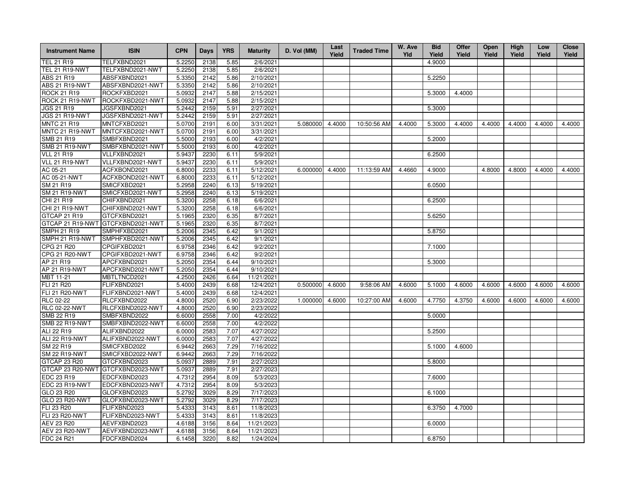| <b>Instrument Name</b>       | <b>ISIN</b>                       | <b>CPN</b>       | Days         | <b>YRS</b>   | <b>Maturity</b>        | D. Vol (MM) | Last<br>Yield | <b>Traded Time</b> | W. Ave<br>Yld | <b>Bid</b><br>Yield | <b>Offer</b><br>Yield | Open<br>Yield | High<br>Yield | Low<br>Yield | <b>Close</b><br>Yield |
|------------------------------|-----------------------------------|------------------|--------------|--------------|------------------------|-------------|---------------|--------------------|---------------|---------------------|-----------------------|---------------|---------------|--------------|-----------------------|
| <b>TEL 21 R19</b>            | TELFXBND2021                      | 5.2250           | 2138         | 5.85         | 2/6/2021               |             |               |                    |               | 4.9000              |                       |               |               |              |                       |
| <b>TEL 21 R19-NWT</b>        | TELFXBND2021-NWT                  | 5.2250           | 2138         | 5.85         | 2/6/2021               |             |               |                    |               |                     |                       |               |               |              |                       |
| ABS 21 R19                   | ABSFXBND2021                      | 5.3350           | 2142         | 5.86         | 2/10/2021              |             |               |                    |               | 5.2250              |                       |               |               |              |                       |
| ABS 21 R19-NWT               | ABSFXBND2021-NWT                  | 5.3350           | 2142         | 5.86         | 2/10/2021              |             |               |                    |               |                     |                       |               |               |              |                       |
| <b>ROCK 21 R19</b>           | ROCKFXBD2021                      | 5.0932           | 2147         | 5.88         | 2/15/2021              |             |               |                    |               | 5.3000              | 4.4000                |               |               |              |                       |
| ROCK 21 R19-NWT              | ROCKFXBD2021-NWT                  | 5.0932           | 2147         | 5.88         | 2/15/2021              |             |               |                    |               |                     |                       |               |               |              |                       |
| <b>JGS 21 R19</b>            | JGSFXBND2021                      | 5.2442           | 2159         | 5.91         | 2/27/2021              |             |               |                    |               | 5.3000              |                       |               |               |              |                       |
| JGS 21 R19-NWT               | JGSFXBND2021-NWT                  | 5.2442           | 2159         | 5.91         | 2/27/2021              |             |               |                    |               |                     |                       |               |               |              |                       |
| <b>MNTC 21 R19</b>           | MNTCFXBD2021                      | 5.0700           | 2191         | 6.00         | 3/31/2021              | 5.080000    | 4.4000        | 10:50:56 AM        | 4.4000        | 5.3000              | 4.4000                | 4.4000        | 4.4000        | 4.4000       | 4.4000                |
| MNTC 21 R19-NWT              | MNTCFXBD2021-NWT                  | 5.0700           | 2191         | 6.00         | 3/31/2021              |             |               |                    |               |                     |                       |               |               |              |                       |
| SMB 21 R19                   | SMBFXBND2021                      | 5.5000           | 2193         | 6.00         | 4/2/2021               |             |               |                    |               | 5.2000              |                       |               |               |              |                       |
| <b>SMB 21 R19-NWT</b>        | SMBFXBND2021-NWT                  | 5.5000           | 2193         | 6.00         | 4/2/2021               |             |               |                    |               |                     |                       |               |               |              |                       |
| <b>VLL 21 R19</b>            | VLLFXBND2021                      | 5.9437           | 2230         | 6.11         | 5/9/2021               |             |               |                    |               | 6.2500              |                       |               |               |              |                       |
| VLL 21 R19-NWT               | VLLFXBND2021-NWT                  | 5.9437           | 2230         | 6.11         | 5/9/2021               |             |               |                    |               |                     |                       |               |               |              |                       |
| AC 05-21                     | ACFXBOND2021                      | 6.8000           | 2233         | 6.11         | 5/12/2021              | 6.000000    | 4.4000        | 11:13:59 AM        | 4.4660        | 4.9000              |                       | 4.8000        | 4.8000        | 4.4000       | 4.4000                |
| AC 05-21-NWT                 | ACFXBOND2021-NWT                  | 6.8000           | 2233         | 6.11         | 5/12/2021              |             |               |                    |               |                     |                       |               |               |              |                       |
| SM 21 R19                    | SMICFXBD2021                      | 5.2958           | 2240         | 6.13         | 5/19/2021              |             |               |                    |               | 6.0500              |                       |               |               |              |                       |
| <b>SM 21 R19-NWT</b>         | SMICFXBD2021-NWT                  | 5.2958           | 2240         | 6.13         | 5/19/2021              |             |               |                    |               |                     |                       |               |               |              |                       |
| CHI 21 R19                   | CHIFXBND2021                      | 5.3200           | 2258         | 6.18         | 6/6/2021               |             |               |                    |               | 6.2500              |                       |               |               |              |                       |
| CHI 21 R19-NWT               | CHIFXBND2021-NWT                  | 5.3200           | 2258         | 6.18         | 6/6/2021               |             |               |                    |               |                     |                       |               |               |              |                       |
| GTCAP 21 R19                 | GTCFXBND2021                      | 5.1965           | 2320         | 6.35         | 8/7/2021               |             |               |                    |               | 5.6250              |                       |               |               |              |                       |
| GTCAP 21 R19-NWT             | GTCFXBND2021-NWT                  | 5.1965           | 2320         | 6.35         | 8/7/2021               |             |               |                    |               |                     |                       |               |               |              |                       |
| <b>SMPH 21 R19</b>           | SMPHFXBD2021                      | 5.2006           | 2345         | 6.42         | 9/1/2021               |             |               |                    |               | 5.8750              |                       |               |               |              |                       |
| SMPH 21 R19-NWT              | SMPHFXBD2021-NWT                  | 5.2006           | 2345         | 6.42         | 9/1/2021               |             |               |                    |               |                     |                       |               |               |              |                       |
| CPG 21 R20                   | CPGIFXBD2021                      | 6.9758           | 2346         | 6.42         | 9/2/2021               |             |               |                    |               | 7.1000              |                       |               |               |              |                       |
| CPG 21 R20-NWT               | CPGIFXBD2021-NWT                  | 6.9758           | 2346         | 6.42         | 9/2/2021               |             |               |                    |               |                     |                       |               |               |              |                       |
| AP 21 R19                    | APCFXBND2021                      | 5.2050           | 2354         | 6.44         | 9/10/2021              |             |               |                    |               | 5.3000              |                       |               |               |              |                       |
| <b>AP 21 R19-NWT</b>         | APCFXBND2021-NWT                  | 5.2050           | 2354         | 6.44         | 9/10/2021              |             |               |                    |               |                     |                       |               |               |              |                       |
| MBT 11-21                    | MBTLTNCD2021                      | 4.2500           | 2426         | 6.64         | 11/21/2021             |             |               |                    |               |                     |                       |               |               |              |                       |
| FLI 21 R20                   | FLIFXBND2021                      | 5.4000           | 2439         | 6.68         | 12/4/2021              | 0.500000    | 4.6000        | 9:58:06 AM         | 4.6000        | 5.1000              | 4.6000                | 4.6000        | 4.6000        | 4.6000       | 4.6000                |
| <b>FLI 21 R20-NWT</b>        | FLIFXBND2021-NWT                  | 5.4000           | 2439         | 6.68         | 12/4/2021              |             |               |                    |               |                     |                       |               |               |              |                       |
| RLC 02-22                    | RLCFXBND2022                      | 4.8000           | 2520         | 6.90         | 2/23/2022              | 1.000000    | 4.6000        | 10:27:00 AM        | 4.6000        | 4.7750              | 4.3750                | 4.6000        | 4.6000        | 4.6000       | 4.6000                |
| <b>RLC 02-22-NWT</b>         | RLCFXBND2022-NWT                  | 4.8000           | 2520         | 6.90         | 2/23/2022              |             |               |                    |               |                     |                       |               |               |              |                       |
| SMB 22 R19                   | SMBFXBND2022                      | 6.6000           | 2558         | 7.00         | 4/2/2022               |             |               |                    |               | 5.0000              |                       |               |               |              |                       |
| <b>SMB 22 R19-NWT</b>        | SMBFXBND2022-NWT                  | 6.6000           | 2558         | 7.00         | 4/2/2022               |             |               |                    |               |                     |                       |               |               |              |                       |
| ALI 22 R19                   | ALIFXBND2022                      | 6.0000           | 2583         | 7.07         | 4/27/2022              |             |               |                    |               | 5.2500              |                       |               |               |              |                       |
| ALI 22 R19-NWT               | ALIFXBND2022-NWT                  | 6.0000           | 2583         | 7.07         | 4/27/2022              |             |               |                    |               |                     |                       |               |               |              |                       |
| SM 22 R19                    | SMICFXBD2022                      | 6.9442           | 2663         | 7.29         | 7/16/2022              |             |               |                    |               | 5.1000              | 4.6000                |               |               |              |                       |
| <b>SM 22 R19-NWT</b>         | SMICFXBD2022-NWT                  | 6.9442           | 2663         | 7.29         | 7/16/2022              |             |               |                    |               |                     |                       |               |               |              |                       |
| GTCAP 23 R20                 | GTCFXBND2023                      | 5.0937           | 2889         | 7.91         | 2/27/2023              |             |               |                    |               | 5.8000              |                       |               |               |              |                       |
|                              | GTCAP 23 R20-NWT GTCFXBND2023-NWT | 5.0937           | 2889         | 7.91         | 2/27/2023              |             |               |                    |               |                     |                       |               |               |              |                       |
| EDC 23 R19                   | EDCFXBND2023                      | 4.7312<br>4.7312 | 2954         | 8.09<br>8.09 | 5/3/2023               |             |               |                    |               | 7.6000              |                       |               |               |              |                       |
| EDC 23 R19-NWT<br>GLO 23 R20 | EDCFXBND2023-NWT<br>GLOFXBND2023  | 5.2792           | 2954         | 8.29         | 5/3/2023<br>7/17/2023  |             |               |                    |               | 6.1000              |                       |               |               |              |                       |
| GLO 23 R20-NWT               | GLOFXBND2023-NWT                  | 5.2792           | 3029<br>3029 | 8.29         |                        |             |               |                    |               |                     |                       |               |               |              |                       |
| FLI 23 R20                   | FLIFXBND2023                      | 5.4333           | 3143         | 8.61         | 7/17/2023<br>11/8/2023 |             |               |                    |               | 6.3750              | 4.7000                |               |               |              |                       |
| <b>FLI 23 R20-NWT</b>        | FLIFXBND2023-NWT                  | 5.4333           | 3143         | 8.61         | 11/8/2023              |             |               |                    |               |                     |                       |               |               |              |                       |
| AEV 23 R20                   | AEVFXBND2023                      | 4.6188           | 3156         | 8.64         | 11/21/2023             |             |               |                    |               | 6.0000              |                       |               |               |              |                       |
| <b>AEV 23 R20-NWT</b>        | AEVFXBND2023-NWT                  | 4.6188           | 3156         | 8.64         | 11/21/2023             |             |               |                    |               |                     |                       |               |               |              |                       |
| FDC 24 R21                   | FDCFXBND2024                      | 6.1458           | 3220         | 8.82         | 1/24/2024              |             |               |                    |               | 6.8750              |                       |               |               |              |                       |
|                              |                                   |                  |              |              |                        |             |               |                    |               |                     |                       |               |               |              |                       |